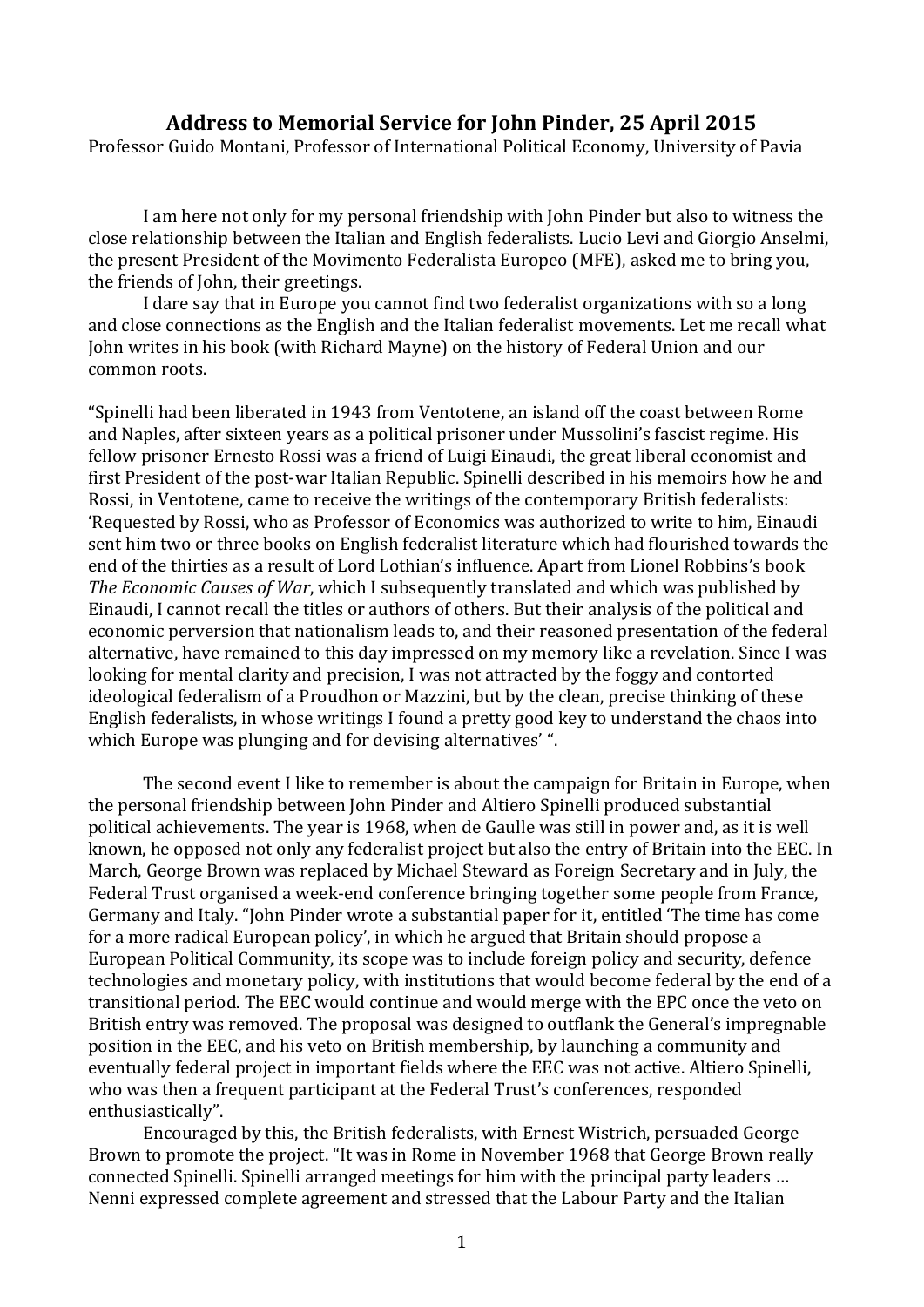## **Address to Memorial Service for John Pinder, 25 April 2015**

Professor Guido Montani, Professor of International Political Economy, University of Pavia

I am here not only for my personal friendship with John Pinder but also to witness the close relationship between the Italian and English federalists. Lucio Levi and Giorgio Anselmi, the present President of the Movimento Federalista Europeo (MFE), asked me to bring you, the friends of John, their greetings.

 I dare say that in Europe you cannot find two federalist organizations with so a long and close connections as the English and the Italian federalist movements. Let me recall what John writes in his book (with Richard Mayne) on the history of Federal Union and our common roots.

"Spinelli had been liberated in 1943 from Ventotene, an island off the coast between Rome and Naples, after sixteen years as a political prisoner under Mussolini's fascist regime. His fellow prisoner Ernesto Rossi was a friend of Luigi Einaudi, the great liberal economist and first President of the post‐war Italian Republic. Spinelli described in his memoirs how he and Rossi, in Ventotene, came to receive the writings of the contemporary British federalists: 'Requested by Rossi, who as Professor of Economics was authorized to write to him, Einaudi sent him two or three books on English federalist literature which had flourished towards the end of the thirties as a result of Lord Lothian's influence. Apart from Lionel Robbins's book *The Economic Causes of War*, which I subsequently translated and which was published by Einaudi, I cannot recall the titles or authors of others. But their analysis of the political and economic perversion that nationalism leads to, and their reasoned presentation of the federal alternative, have remained to this day impressed on my memory like a revelation. Since I was looking for mental clarity and precision, I was not attracted by the foggy and contorted ideological federalism of a Proudhon or Mazzini, but by the clean, precise thinking of these English federalists, in whose writings I found a pretty good key to understand the chaos into which Europe was plunging and for devising alternatives' ".

 The second event I like to remember is about the campaign for Britain in Europe, when the personal friendship between John Pinder and Altiero Spinelli produced substantial political achievements. The year is 1968, when de Gaulle was still in power and, as it is well known, he opposed not only any federalist project but also the entry of Britain into the EEC. In March, George Brown was replaced by Michael Steward as Foreign Secretary and in July, the Federal Trust organised a week‐end conference bringing together some people from France, Germany and Italy. "John Pinder wrote a substantial paper for it, entitled 'The time has come for a more radical European policy', in which he argued that Britain should propose a European Political Community, its scope was to include foreign policy and security, defence technologies and monetary policy, with institutions that would become federal by the end of a transitional period. The EEC would continue and would merge with the EPC once the veto on British entry was removed. The proposal was designed to outflank the General's impregnable position in the EEC, and his veto on British membership, by launching a community and eventually federal project in important fields where the EEC was not active. Altiero Spinelli, who was then a frequent participant at the Federal Trust's conferences, responded enthusiastically".

 Encouraged by this, the British federalists, with Ernest Wistrich, persuaded George Brown to promote the project. "It was in Rome in November 1968 that George Brown really connected Spinelli. Spinelli arranged meetings for him with the principal party leaders … Nenni expressed complete agreement and stressed that the Labour Party and the Italian